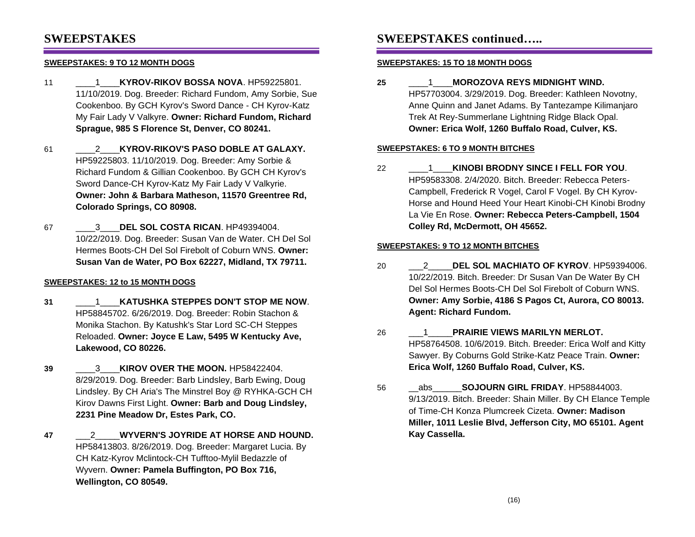### **SWEEPSTAKES**

#### **SWEEPSTAKES: 9 TO 12 MONTH DOGS**

- 11 \_\_\_\_1\_\_\_\_**KYROV-RIKOV BOSSA NOVA**. HP59225801. 11/10/2019. Dog. Breeder: Richard Fundom, Amy Sorbie, Sue Cookenboo. By GCH Kyrov's Sword Dance - CH Kyrov-Katz My Fair Lady V Valkyre. **Owner: Richard Fundom, Richard Sprague, 985 S Florence St, Denver, CO 80241.**
- 61 \_\_\_\_2\_\_\_\_**KYROV-RIKOV'S PASO DOBLE AT GALAXY.** HP59225803. 11/10/2019. Dog. Breeder: Amy Sorbie & Richard Fundom & Gillian Cookenboo. By GCH CH Kyrov's Sword Dance-CH Kyrov-Katz My Fair Lady V Valkyrie. **Owner: John & Barbara Matheson, 11570 Greentree Rd, Colorado Springs, CO 80908.**
- 67 \_\_\_\_3\_\_\_\_**DEL SOL COSTA RICAN**. HP49394004. 10/22/2019. Dog. Breeder: Susan Van de Water. CH Del Sol Hermes Boots-CH Del Sol Firebolt of Coburn WNS. **Owner: Susan Van de Water, PO Box 62227, Midland, TX 79711.**

### **SWEEPSTAKES: 12 to 15 MONTH DOGS**

- **31** \_\_\_\_1\_\_\_\_**KATUSHKA STEPPES DON'T STOP ME NOW**. HP58845702. 6/26/2019. Dog. Breeder: Robin Stachon & Monika Stachon. By Katushk's Star Lord SC-CH Steppes Reloaded. **Owner: Joyce E Law, 5495 W Kentucky Ave, Lakewood, CO 80226.**
- **39** \_\_\_\_3\_\_\_\_**KIROV OVER THE MOON.** HP58422404. 8/29/2019. Dog. Breeder: Barb Lindsley, Barb Ewing, Doug Lindsley. By CH Aria's The Minstrel Boy @ RYHKA-GCH CH Kirov Dawns First Light. **Owner: Barb and Doug Lindsley, 2231 Pine Meadow Dr, Estes Park, CO.**
- **47** \_\_\_2\_\_\_\_\_**WYVERN'S JOYRIDE AT HORSE AND HOUND.** HP58413803. 8/26/2019. Dog. Breeder: Margaret Lucia. By CH Katz-Kyrov Mclintock-CH Tufftoo-Mylil Bedazzle of Wyvern. **Owner: Pamela Buffington, PO Box 716, Wellington, CO 80549.**

### **SWEEPSTAKES continued…..**

#### **SWEEPSTAKES: 15 TO 18 MONTH DOGS**

**25** \_\_\_\_1\_\_\_\_**MOROZOVA REYS MIDNIGHT WIND.** HP57703004. 3/29/2019. Dog. Breeder: Kathleen Novotny, Anne Quinn and Janet Adams. By Tantezampe Kilimanjaro Trek At Rey-Summerlane Lightning Ridge Black Opal. **Owner: Erica Wolf, 1260 Buffalo Road, Culver, KS.**

#### **SWEEPSTAKES: 6 TO 9 MONTH BITCHES**

22 \_\_\_\_1\_\_\_\_**KINOBI BRODNY SINCE I FELL FOR YOU**. HP59583308. 2/4/2020. Bitch. Breeder: Rebecca Peters-Campbell, Frederick R Vogel, Carol F Vogel. By CH Kyrov-Horse and Hound Heed Your Heart Kinobi-CH Kinobi Brodny La Vie En Rose. **Owner: Rebecca Peters-Campbell, 1504 Colley Rd, McDermott, OH 45652.**

#### **SWEEPSTAKES: 9 TO 12 MONTH BITCHES**

- 20 \_\_\_2\_\_\_\_\_**DEL SOL MACHIATO OF KYROV**. HP59394006. 10/22/2019. Bitch. Breeder: Dr Susan Van De Water By CH Del Sol Hermes Boots-CH Del Sol Firebolt of Coburn WNS. **Owner: Amy Sorbie, 4186 S Pagos Ct, Aurora, CO 80013. Agent: Richard Fundom.**
- 26 \_\_\_1\_\_\_\_\_**PRAIRIE VIEWS MARILYN MERLOT.** HP58764508. 10/6/2019. Bitch. Breeder: Erica Wolf and Kitty Sawyer. By Coburns Gold Strike-Katz Peace Train. **Owner: Erica Wolf, 1260 Buffalo Road, Culver, KS.**
- 56 \_\_abs\_\_\_\_\_\_**SOJOURN GIRL FRIDAY**. HP58844003. 9/13/2019. Bitch. Breeder: Shain Miller. By CH Elance Temple of Time-CH Konza Plumcreek Cizeta. **Owner: Madison Miller, 1011 Leslie Blvd, Jefferson City, MO 65101. Agent Kay Cassella.**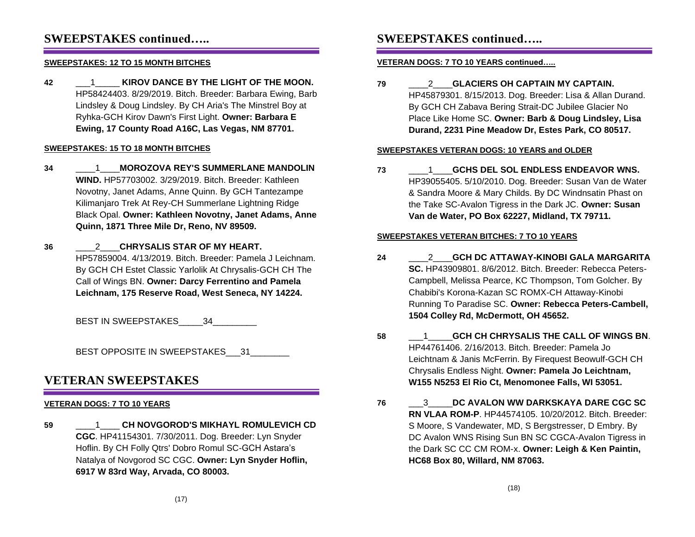### **SWEEPSTAKES continued…..**

### **SWEEPSTAKES: 12 TO 15 MONTH BITCHES**

**42** \_\_\_1\_\_\_\_\_ **KIROV DANCE BY THE LIGHT OF THE MOON.** HP58424403. 8/29/2019. Bitch. Breeder: Barbara Ewing, Barb Lindsley & Doug Lindsley. By CH Aria's The Minstrel Boy at Ryhka-GCH Kirov Dawn's First Light. **Owner: Barbara E Ewing, 17 County Road A16C, Las Vegas, NM 87701.**

#### **SWEEPSTAKES: 15 TO 18 MONTH BITCHES**

- **34** \_\_\_\_1\_\_\_\_**MOROZOVA REY'S SUMMERLANE MANDOLIN WIND.** HP57703002. 3/29/2019. Bitch. Breeder: Kathleen Novotny, Janet Adams, Anne Quinn. By GCH Tantezampe Kilimanjaro Trek At Rey-CH Summerlane Lightning Ridge Black Opal. **Owner: Kathleen Novotny, Janet Adams, Anne Quinn, 1871 Three Mile Dr, Reno, NV 89509.**
- **36** \_\_\_\_2\_\_\_\_**CHRYSALIS STAR OF MY HEART.** HP57859004. 4/13/2019. Bitch. Breeder: Pamela J Leichnam. By GCH CH Estet Classic Yarlolik At Chrysalis-GCH CH The Call of Wings BN. **Owner: Darcy Ferrentino and Pamela Leichnam, 175 Reserve Road, West Seneca, NY 14224.**

BEST IN SWEEPSTAKES 34

BEST OPPOSITE IN SWEEPSTAKES 31

### **VETERAN SWEEPSTAKES**

### **VETERAN DOGS: 7 TO 10 YEARS**

**59** \_\_\_\_1\_\_\_\_ **CH NOVGOROD'S MIKHAYL ROMULEVICH CD CGC**. HP41154301. 7/30/2011. Dog. Breeder: Lyn Snyder Hoflin. By CH Folly Qtrs' Dobro Romul SC-GCH Astara's Natalya of Novgorod SC CGC. **Owner: Lyn Snyder Hoflin, 6917 W 83rd Way, Arvada, CO 80003.**

## **SWEEPSTAKES continued…..**

#### **VETERAN DOGS: 7 TO 10 YEARS continued…..**

**79** \_\_\_\_2\_\_\_\_**GLACIERS OH CAPTAIN MY CAPTAIN.** HP45879301. 8/15/2013. Dog. Breeder: Lisa & Allan Durand. By GCH CH Zabava Bering Strait-DC Jubilee Glacier No Place Like Home SC. **Owner: Barb & Doug Lindsley, Lisa Durand, 2231 Pine Meadow Dr, Estes Park, CO 80517.**

#### **SWEEPSTAKES VETERAN DOGS: 10 YEARS and OLDER**

**73** \_\_\_\_1\_\_\_\_**GCHS DEL SOL ENDLESS ENDEAVOR WNS.** HP39055405. 5/10/2010. Dog. Breeder: Susan Van de Water & Sandra Moore & Mary Childs. By DC Windnsatin Phast on the Take SC-Avalon Tigress in the Dark JC. **Owner: Susan Van de Water, PO Box 62227, Midland, TX 79711.**

#### **SWEEPSTAKES VETERAN BITCHES: 7 TO 10 YEARS**

- **24** \_\_\_\_2\_\_\_\_**GCH DC ATTAWAY-KINOBI GALA MARGARITA SC.** HP43909801. 8/6/2012. Bitch. Breeder: Rebecca Peters-Campbell, Melissa Pearce, KC Thompson, Tom Golcher. By Chabibi's Korona-Kazan SC ROMX-CH Attaway-Kinobi Running To Paradise SC. **Owner: Rebecca Peters-Cambell, 1504 Colley Rd, McDermott, OH 45652.**
- **58** \_\_\_1\_\_\_\_\_**GCH CH CHRYSALIS THE CALL OF WINGS BN**. HP44761406. 2/16/2013. Bitch. Breeder: Pamela Jo Leichtnam & Janis McFerrin. By Firequest Beowulf-GCH CH Chrysalis Endless Night. **Owner: Pamela Jo Leichtnam, W155 N5253 El Rio Ct, Menomonee Falls, WI 53051.**
- **76** \_\_\_3\_\_\_\_\_**DC AVALON WW DARKSKAYA DARE CGC SC RN VLAA ROM-P**. HP44574105. 10/20/2012. Bitch. Breeder: S Moore, S Vandewater, MD, S Bergstresser, D Embry. By DC Avalon WNS Rising Sun BN SC CGCA-Avalon Tigress in the Dark SC CC CM ROM-x. **Owner: Leigh & Ken Paintin, HC68 Box 80, Willard, NM 87063.**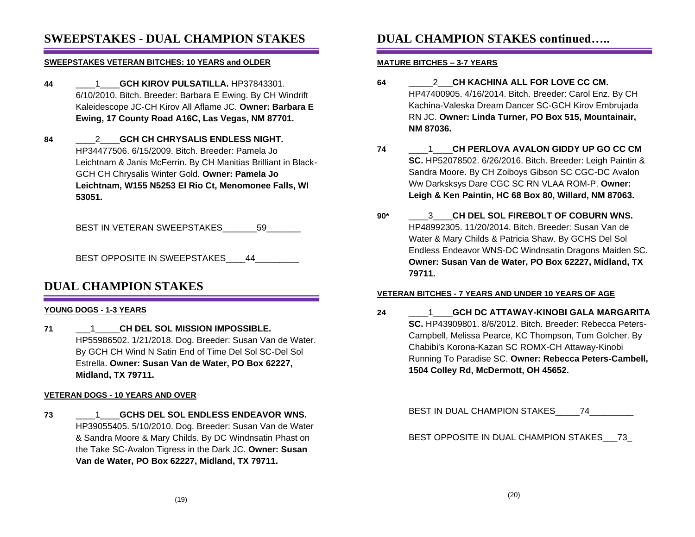### **SWEEPSTAKES - DUAL CHAMPION STAKES**

#### **SWEEPSTAKES VETERAN BITCHES: 10 YEARS and OLDER**

- **44** \_\_\_\_1\_\_\_\_**GCH KIROV PULSATILLA.** HP37843301. 6/10/2010. Bitch. Breeder: Barbara E Ewing. By CH Windrift Kaleidescope JC-CH Kirov All Aflame JC. **Owner: Barbara E Ewing, 17 County Road A16C, Las Vegas, NM 87701.**
- **84** \_\_\_\_2\_\_\_\_**GCH CH CHRYSALIS ENDLESS NIGHT.** HP34477506. 6/15/2009. Bitch. Breeder: Pamela Jo Leichtnam & Janis McFerrin. By CH Manitias Brilliant in Black-GCH CH Chrysalis Winter Gold. **Owner: Pamela Jo Leichtnam, W155 N5253 El Rio Ct, Menomonee Falls, WI 53051.**

BEST IN VETERAN SWEEPSTAKES 59

BEST OPPOSITE IN SWEEPSTAKES 44

### **DUAL CHAMPION STAKES**

### **YOUNG DOGS - 1-3 YEARS**

**71** \_\_\_1\_\_\_\_\_**CH DEL SOL MISSION IMPOSSIBLE.** HP55986502. 1/21/2018. Dog. Breeder: Susan Van de Water. By GCH CH Wind N Satin End of Time Del Sol SC-Del Sol Estrella. **Owner: Susan Van de Water, PO Box 62227, Midland, TX 79711.**

#### **VETERAN DOGS - 10 YEARS AND OVER**

**73** \_\_\_\_1\_\_\_\_**GCHS DEL SOL ENDLESS ENDEAVOR WNS.** HP39055405. 5/10/2010. Dog. Breeder: Susan Van de Water & Sandra Moore & Mary Childs. By DC Windnsatin Phast on the Take SC-Avalon Tigress in the Dark JC. **Owner: Susan Van de Water, PO Box 62227, Midland, TX 79711.**

# **DUAL CHAMPION STAKES continued…..**

### **MATURE BITCHES – 3-7 YEARS**

- **64** \_\_\_\_\_2\_\_\_**CH KACHINA ALL FOR LOVE CC CM.** HP47400905. 4/16/2014. Bitch. Breeder: Carol Enz. By CH Kachina-Valeska Dream Dancer SC-GCH Kirov Embrujada RN JC. **Owner: Linda Turner, PO Box 515, Mountainair, NM 87036.**
- **74** \_\_\_\_1\_\_\_\_**CH PERLOVA AVALON GIDDY UP GO CC CM SC.** HP52078502. 6/26/2016. Bitch. Breeder: Leigh Paintin & Sandra Moore. By CH Zoiboys Gibson SC CGC-DC Avalon Ww Darksksys Dare CGC SC RN VLAA ROM-P. **Owner: Leigh & Ken Paintin, HC 68 Box 80, Willard, NM 87063.**
- **90\*** \_\_\_\_3\_\_\_\_**CH DEL SOL FIREBOLT OF COBURN WNS.** HP48992305. 11/20/2014. Bitch. Breeder: Susan Van de Water & Mary Childs & Patricia Shaw. By GCHS Del Sol Endless Endeavor WNS-DC Windnsatin Dragons Maiden SC. **Owner: Susan Van de Water, PO Box 62227, Midland, TX 79711.**

### **VETERAN BITCHES - 7 YEARS AND UNDER 10 YEARS OF AGE**

**24** \_\_\_\_1\_\_\_\_**GCH DC ATTAWAY-KINOBI GALA MARGARITA SC.** HP43909801. 8/6/2012. Bitch. Breeder: Rebecca Peters-Campbell, Melissa Pearce, KC Thompson, Tom Golcher. By Chabibi's Korona-Kazan SC ROMX-CH Attaway-Kinobi Running To Paradise SC. **Owner: Rebecca Peters-Cambell, 1504 Colley Rd, McDermott, OH 45652.**

BEST IN DUAL CHAMPION STAKES\_\_\_\_\_74\_\_\_\_\_\_\_\_\_

BEST OPPOSITE IN DUAL CHAMPION STAKES\_\_\_73\_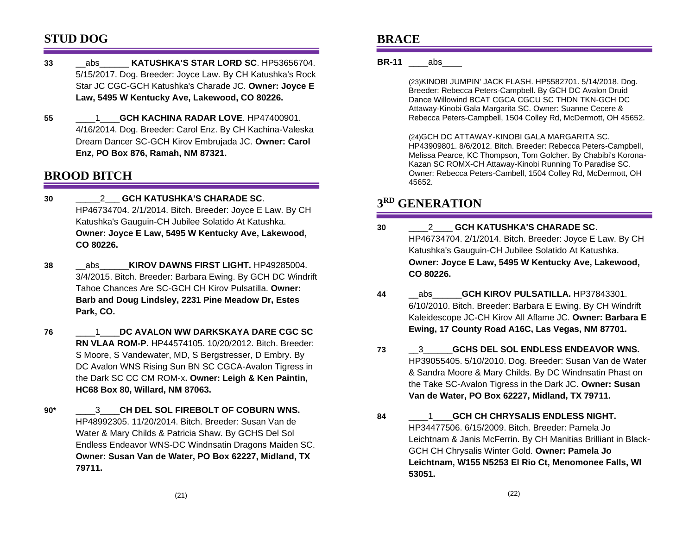### **STUD DOG**

- **33** \_\_abs\_\_\_\_\_\_ **KATUSHKA'S STAR LORD SC**. HP53656704. 5/15/2017. Dog. Breeder: Joyce Law. By CH Katushka's Rock Star JC CGC-GCH Katushka's Charade JC. **Owner: Joyce E Law, 5495 W Kentucky Ave, Lakewood, CO 80226.**
- **55** \_\_\_\_1\_\_\_\_**GCH KACHINA RADAR LOVE**. HP47400901. 4/16/2014. Dog. Breeder: Carol Enz. By CH Kachina-Valeska Dream Dancer SC-GCH Kirov Embrujada JC. **Owner: Carol Enz, PO Box 876, Ramah, NM 87321.**

### **BROOD BITCH**

- **30** \_\_\_\_\_2\_\_\_ **GCH KATUSHKA'S CHARADE SC**. HP46734704. 2/1/2014. Bitch. Breeder: Joyce E Law. By CH Katushka's Gauguin-CH Jubilee Solatido At Katushka. **Owner: Joyce E Law, 5495 W Kentucky Ave, Lakewood, CO 80226.**
- **38** \_\_abs\_\_\_\_\_\_**KIROV DAWNS FIRST LIGHT.** HP49285004. 3/4/2015. Bitch. Breeder: Barbara Ewing. By GCH DC Windrift Tahoe Chances Are SC-GCH CH Kirov Pulsatilla. **Owner: Barb and Doug Lindsley, 2231 Pine Meadow Dr, Estes Park, CO.**
- **76** \_\_\_\_1\_\_\_\_**DC AVALON WW DARKSKAYA DARE CGC SC RN VLAA ROM-P.** HP44574105. 10/20/2012. Bitch. Breeder: S Moore, S Vandewater, MD, S Bergstresser, D Embry. By DC Avalon WNS Rising Sun BN SC CGCA-Avalon Tigress in the Dark SC CC CM ROM-x**. Owner: Leigh & Ken Paintin, HC68 Box 80, Willard, NM 87063.**
- **90\*** \_\_\_\_3\_\_\_\_**CH DEL SOL FIREBOLT OF COBURN WNS.** HP48992305. 11/20/2014. Bitch. Breeder: Susan Van de Water & Mary Childs & Patricia Shaw. By GCHS Del Sol Endless Endeavor WNS-DC Windnsatin Dragons Maiden SC. **Owner: Susan Van de Water, PO Box 62227, Midland, TX 79711.**

### **BRACE**

### **BR-11** abs

(23)KINOBI JUMPIN' JACK FLASH. HP5582701. 5/14/2018. Dog. Breeder: Rebecca Peters-Campbell. By GCH DC Avalon Druid Dance Willowind BCAT CGCA CGCU SC THDN TKN-GCH DC Attaway-Kinobi Gala Margarita SC. Owner: Suanne Cecere & Rebecca Peters-Campbell, 1504 Colley Rd, McDermott, OH 45652.

(24)GCH DC ATTAWAY-KINOBI GALA MARGARITA SC. HP43909801. 8/6/2012. Bitch. Breeder: Rebecca Peters-Campbell, Melissa Pearce, KC Thompson, Tom Golcher. By Chabibi's Korona-Kazan SC ROMX-CH Attaway-Kinobi Running To Paradise SC. Owner: Rebecca Peters-Cambell, 1504 Colley Rd, McDermott, OH 45652.

## **3 RD GENERATION**

- **30** \_\_\_\_2\_\_\_\_ **GCH KATUSHKA'S CHARADE SC**. HP46734704. 2/1/2014. Bitch. Breeder: Joyce E Law. By CH Katushka's Gauguin-CH Jubilee Solatido At Katushka. **Owner: Joyce E Law, 5495 W Kentucky Ave, Lakewood, CO 80226.**
- **44** \_\_abs\_\_\_\_\_\_**GCH KIROV PULSATILLA.** HP37843301. 6/10/2010. Bitch. Breeder: Barbara E Ewing. By CH Windrift Kaleidescope JC-CH Kirov All Aflame JC. **Owner: Barbara E Ewing, 17 County Road A16C, Las Vegas, NM 87701.**
- **73** \_\_3\_\_\_\_\_\_**GCHS DEL SOL ENDLESS ENDEAVOR WNS.** HP39055405. 5/10/2010. Dog. Breeder: Susan Van de Water & Sandra Moore & Mary Childs. By DC Windnsatin Phast on the Take SC-Avalon Tigress in the Dark JC. **Owner: Susan Van de Water, PO Box 62227, Midland, TX 79711.**
- **84** \_\_\_\_1\_\_\_\_**GCH CH CHRYSALIS ENDLESS NIGHT.** HP34477506. 6/15/2009. Bitch. Breeder: Pamela Jo Leichtnam & Janis McFerrin. By CH Manitias Brilliant in Black-GCH CH Chrysalis Winter Gold. **Owner: Pamela Jo Leichtnam, W155 N5253 El Rio Ct, Menomonee Falls, WI 53051.**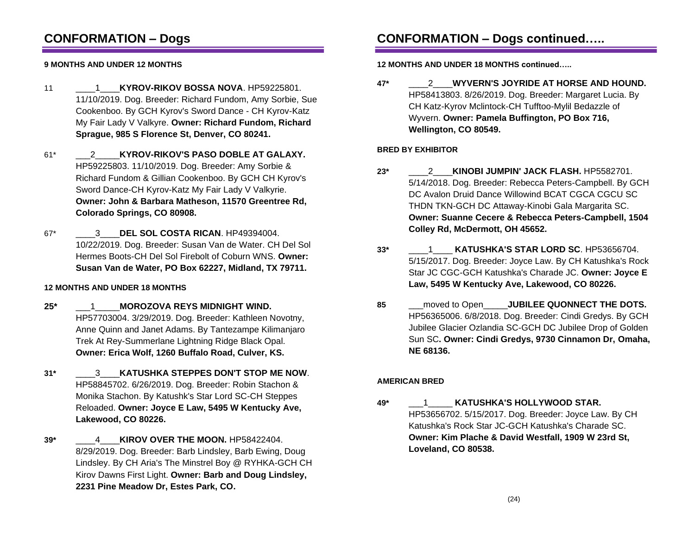## **CONFORMATION – Dogs**

### **9 MONTHS AND UNDER 12 MONTHS**

- 11 \_\_\_\_1\_\_\_\_**KYROV-RIKOV BOSSA NOVA**. HP59225801. 11/10/2019. Dog. Breeder: Richard Fundom, Amy Sorbie, Sue Cookenboo. By GCH Kyrov's Sword Dance - CH Kyrov-Katz My Fair Lady V Valkyre. **Owner: Richard Fundom, Richard Sprague, 985 S Florence St, Denver, CO 80241.**
- 61\* \_\_\_2\_\_\_\_\_**KYROV-RIKOV'S PASO DOBLE AT GALAXY.** HP59225803. 11/10/2019. Dog. Breeder: Amy Sorbie & Richard Fundom & Gillian Cookenboo. By GCH CH Kyrov's Sword Dance-CH Kyrov-Katz My Fair Lady V Valkyrie. **Owner: John & Barbara Matheson, 11570 Greentree Rd, Colorado Springs, CO 80908.**
- 67\* \_\_\_\_3\_\_\_\_**DEL SOL COSTA RICAN**. HP49394004. 10/22/2019. Dog. Breeder: Susan Van de Water. CH Del Sol Hermes Boots-CH Del Sol Firebolt of Coburn WNS. **Owner: Susan Van de Water, PO Box 62227, Midland, TX 79711.**

### **12 MONTHS AND UNDER 18 MONTHS**

- **25\*** \_\_\_1\_\_\_\_\_**MOROZOVA REYS MIDNIGHT WIND.** HP57703004. 3/29/2019. Dog. Breeder: Kathleen Novotny, Anne Quinn and Janet Adams. By Tantezampe Kilimanjaro Trek At Rey-Summerlane Lightning Ridge Black Opal. **Owner: Erica Wolf, 1260 Buffalo Road, Culver, KS.**
- **31\*** \_\_\_\_3\_\_\_\_**KATUSHKA STEPPES DON'T STOP ME NOW**. HP58845702. 6/26/2019. Dog. Breeder: Robin Stachon & Monika Stachon. By Katushk's Star Lord SC-CH Steppes Reloaded. **Owner: Joyce E Law, 5495 W Kentucky Ave, Lakewood, CO 80226.**
- **39\*** \_\_\_\_4\_\_\_\_**KIROV OVER THE MOON.** HP58422404. 8/29/2019. Dog. Breeder: Barb Lindsley, Barb Ewing, Doug Lindsley. By CH Aria's The Minstrel Boy @ RYHKA-GCH CH Kirov Dawns First Light. **Owner: Barb and Doug Lindsley, 2231 Pine Meadow Dr, Estes Park, CO.**

## **CONFORMATION – Dogs continued…..**

### **12 MONTHS AND UNDER 18 MONTHS continued…..**

**47\*** \_\_\_\_2\_\_\_\_**WYVERN'S JOYRIDE AT HORSE AND HOUND.** HP58413803. 8/26/2019. Dog. Breeder: Margaret Lucia. By CH Katz-Kyrov Mclintock-CH Tufftoo-Mylil Bedazzle of Wyvern. **Owner: Pamela Buffington, PO Box 716, Wellington, CO 80549.**

### **BRED BY EXHIBITOR**

- **23\*** \_\_\_\_2\_\_\_\_**KINOBI JUMPIN' JACK FLASH.** HP5582701. 5/14/2018. Dog. Breeder: Rebecca Peters-Campbell. By GCH DC Avalon Druid Dance Willowind BCAT CGCA CGCU SC THDN TKN-GCH DC Attaway-Kinobi Gala Margarita SC. **Owner: Suanne Cecere & Rebecca Peters-Campbell, 1504 Colley Rd, McDermott, OH 45652.**
- **33\*** \_\_\_\_1\_\_\_\_ **KATUSHKA'S STAR LORD SC**. HP53656704. 5/15/2017. Dog. Breeder: Joyce Law. By CH Katushka's Rock Star JC CGC-GCH Katushka's Charade JC. **Owner: Joyce E Law, 5495 W Kentucky Ave, Lakewood, CO 80226.**
- **85** \_\_\_moved to Open\_\_\_\_\_**JUBILEE QUONNECT THE DOTS.** HP56365006. 6/8/2018. Dog. Breeder: Cindi Gredys. By GCH Jubilee Glacier Ozlandia SC-GCH DC Jubilee Drop of Golden Sun SC**. Owner: Cindi Gredys, 9730 Cinnamon Dr, Omaha, NE 68136.**

### **AMERICAN BRED**

**49\*** \_\_\_1\_\_\_\_\_ **KATUSHKA'S HOLLYWOOD STAR.** HP53656702. 5/15/2017. Dog. Breeder: Joyce Law. By CH Katushka's Rock Star JC-GCH Katushka's Charade SC. **Owner: Kim Plache & David Westfall, 1909 W 23rd St, Loveland, CO 80538.**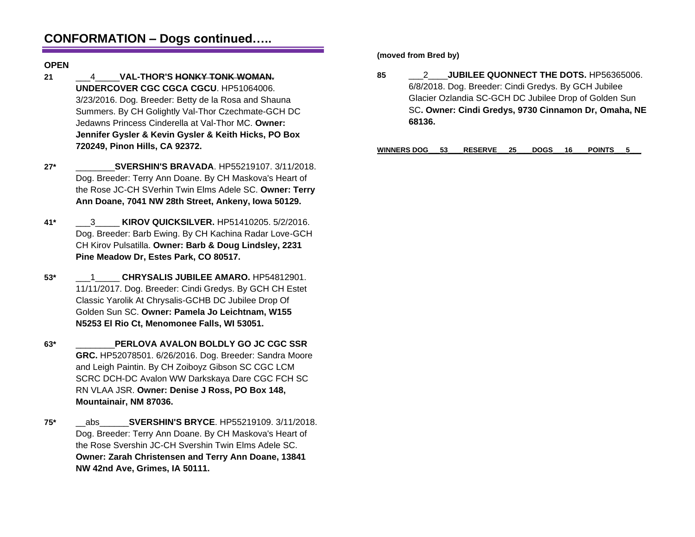## **CONFORMATION – Dogs continued…..**

### **OPEN**

- **21** \_\_\_4\_\_\_\_\_**VAL-THOR'S HONKY TONK WOMAN. UNDERCOVER CGC CGCA CGCU**. HP51064006. 3/23/2016. Dog. Breeder: Betty de la Rosa and Shauna Summers. By CH Golightly Val-Thor Czechmate-GCH DC Jedawns Princess Cinderella at Val-Thor MC. **Owner: Jennifer Gysler & Kevin Gysler & Keith Hicks, PO Box 720249, Pinon Hills, CA 92372.**
- **27\*** \_\_\_\_\_\_\_\_**SVERSHIN'S BRAVADA**. HP55219107. 3/11/2018. Dog. Breeder: Terry Ann Doane. By CH Maskova's Heart of the Rose JC-CH SVerhin Twin Elms Adele SC. **Owner: Terry Ann Doane, 7041 NW 28th Street, Ankeny, Iowa 50129.**
- **41\*** \_\_\_3\_\_\_\_\_ **KIROV QUICKSILVER.** HP51410205. 5/2/2016. Dog. Breeder: Barb Ewing. By CH Kachina Radar Love-GCH CH Kirov Pulsatilla. **Owner: Barb & Doug Lindsley, 2231 Pine Meadow Dr, Estes Park, CO 80517.**
- **53\*** \_\_\_1\_\_\_\_\_ **CHRYSALIS JUBILEE AMARO.** HP54812901. 11/11/2017. Dog. Breeder: Cindi Gredys. By GCH CH Estet Classic Yarolik At Chrysalis-GCHB DC Jubilee Drop Of Golden Sun SC. **Owner: Pamela Jo Leichtnam, W155 N5253 El Rio Ct, Menomonee Falls, WI 53051.**
- **63\*** \_\_\_\_\_\_\_\_**PERLOVA AVALON BOLDLY GO JC CGC SSR GRC.** HP52078501. 6/26/2016. Dog. Breeder: Sandra Moore and Leigh Paintin. By CH Zoiboyz Gibson SC CGC LCM SCRC DCH-DC Avalon WW Darkskaya Dare CGC FCH SC RN VLAA JSR. **Owner: Denise J Ross, PO Box 148, Mountainair, NM 87036.**
- **75\*** \_\_abs\_\_\_\_\_\_**SVERSHIN'S BRYCE**. HP55219109. 3/11/2018. Dog. Breeder: Terry Ann Doane. By CH Maskova's Heart of the Rose Svershin JC-CH Svershin Twin Elms Adele SC. **Owner: Zarah Christensen and Terry Ann Doane, 13841 NW 42nd Ave, Grimes, IA 50111.**

**(moved from Bred by)**

**85** \_\_\_2\_\_\_\_**JUBILEE QUONNECT THE DOTS.** HP56365006. 6/8/2018. Dog. Breeder: Cindi Gredys. By GCH Jubilee Glacier Ozlandia SC-GCH DC Jubilee Drop of Golden Sun SC**. Owner: Cindi Gredys, 9730 Cinnamon Dr, Omaha, NE 68136.**

**WINNERS DOG\_\_\_53\_\_\_\_RESERVE\_\_\_25\_\_\_\_DOGS\_\_\_16\_\_\_\_POINTS\_\_\_5\_\_\_**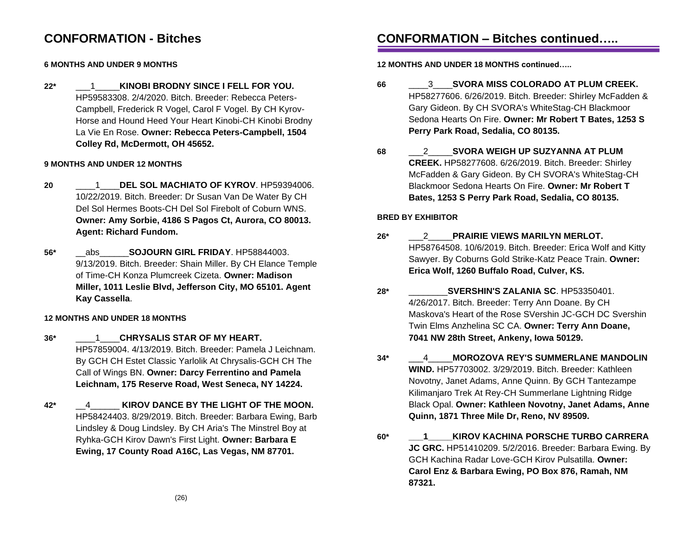### **CONFORMATION - Bitches**

### **6 MONTHS AND UNDER 9 MONTHS**

**22\*** \_\_\_1\_\_\_\_\_**KINOBI BRODNY SINCE I FELL FOR YOU.** HP59583308. 2/4/2020. Bitch. Breeder: Rebecca Peters-Campbell, Frederick R Vogel, Carol F Vogel. By CH Kyrov-Horse and Hound Heed Your Heart Kinobi-CH Kinobi Brodny La Vie En Rose. **Owner: Rebecca Peters-Campbell, 1504 Colley Rd, McDermott, OH 45652.**

### **9 MONTHS AND UNDER 12 MONTHS**

- **20** \_\_\_\_1\_\_\_\_**DEL SOL MACHIATO OF KYROV**. HP59394006. 10/22/2019. Bitch. Breeder: Dr Susan Van De Water By CH Del Sol Hermes Boots-CH Del Sol Firebolt of Coburn WNS. **Owner: Amy Sorbie, 4186 S Pagos Ct, Aurora, CO 80013. Agent: Richard Fundom.**
- **56\*** \_\_abs\_\_\_\_\_\_**SOJOURN GIRL FRIDAY**. HP58844003. 9/13/2019. Bitch. Breeder: Shain Miller. By CH Elance Temple of Time-CH Konza Plumcreek Cizeta. **Owner: Madison Miller, 1011 Leslie Blvd, Jefferson City, MO 65101. Agent Kay Cassella**.

### **12 MONTHS AND UNDER 18 MONTHS**

- **36\*** \_\_\_\_1\_\_\_\_**CHRYSALIS STAR OF MY HEART.** HP57859004. 4/13/2019. Bitch. Breeder: Pamela J Leichnam. By GCH CH Estet Classic Yarlolik At Chrysalis-GCH CH The Call of Wings BN. **Owner: Darcy Ferrentino and Pamela Leichnam, 175 Reserve Road, West Seneca, NY 14224.**
- **42\*** \_\_4\_\_\_\_\_\_ **KIROV DANCE BY THE LIGHT OF THE MOON.** HP58424403. 8/29/2019. Bitch. Breeder: Barbara Ewing, Barb Lindsley & Doug Lindsley. By CH Aria's The Minstrel Boy at Ryhka-GCH Kirov Dawn's First Light. **Owner: Barbara E Ewing, 17 County Road A16C, Las Vegas, NM 87701.**

# **CONFORMATION – Bitches continued…..**

### **12 MONTHS AND UNDER 18 MONTHS continued…..**

- **66** \_\_\_\_3\_\_\_\_**SVORA MISS COLORADO AT PLUM CREEK.** HP58277606. 6/26/2019. Bitch. Breeder: Shirley McFadden & Gary Gideon. By CH SVORA's WhiteStag-CH Blackmoor Sedona Hearts On Fire. **Owner: Mr Robert T Bates, 1253 S Perry Park Road, Sedalia, CO 80135.**
- **68** \_\_\_2\_\_\_\_\_**SVORA WEIGH UP SUZYANNA AT PLUM CREEK.** HP58277608. 6/26/2019. Bitch. Breeder: Shirley McFadden & Gary Gideon. By CH SVORA's WhiteStag-CH Blackmoor Sedona Hearts On Fire. **Owner: Mr Robert T Bates, 1253 S Perry Park Road, Sedalia, CO 80135.**

### **BRED BY EXHIBITOR**

- **26\*** \_\_\_2\_\_\_\_\_**PRAIRIE VIEWS MARILYN MERLOT.** HP58764508. 10/6/2019. Bitch. Breeder: Erica Wolf and Kitty Sawyer. By Coburns Gold Strike-Katz Peace Train. **Owner: Erica Wolf, 1260 Buffalo Road, Culver, KS.**
- **28\*** \_\_\_\_\_\_\_\_**SVERSHIN'S ZALANIA SC**. HP53350401. 4/26/2017. Bitch. Breeder: Terry Ann Doane. By CH Maskova's Heart of the Rose SVershin JC-GCH DC Svershin Twin Elms Anzhelina SC CA. **Owner: Terry Ann Doane, 7041 NW 28th Street, Ankeny, Iowa 50129.**
- **34\*** \_\_\_4\_\_\_\_\_**MOROZOVA REY'S SUMMERLANE MANDOLIN WIND.** HP57703002. 3/29/2019. Bitch. Breeder: Kathleen Novotny, Janet Adams, Anne Quinn. By GCH Tantezampe Kilimanjaro Trek At Rey-CH Summerlane Lightning Ridge Black Opal. **Owner: Kathleen Novotny, Janet Adams, Anne Quinn, 1871 Three Mile Dr, Reno, NV 89509.**
- **60\* \_\_\_1\_\_\_\_\_KIROV KACHINA PORSCHE TURBO CARRERA JC GRC.** HP51410209. 5/2/2016. Breeder: Barbara Ewing. By GCH Kachina Radar Love-GCH Kirov Pulsatilla. **Owner: Carol Enz & Barbara Ewing, PO Box 876, Ramah, NM 87321.**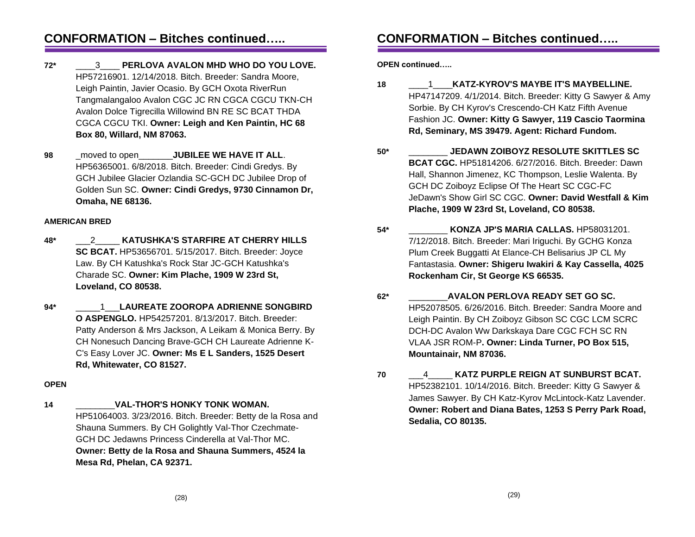### **CONFORMATION – Bitches continued…..**

- **72\*** \_\_\_\_3\_\_\_\_ **PERLOVA AVALON MHD WHO DO YOU LOVE.** HP57216901. 12/14/2018. Bitch. Breeder: Sandra Moore, Leigh Paintin, Javier Ocasio. By GCH Oxota RiverRun Tangmalangaloo Avalon CGC JC RN CGCA CGCU TKN-CH Avalon Dolce Tigrecilla Willowind BN RE SC BCAT THDA CGCA CGCU TKI. **Owner: Leigh and Ken Paintin, HC 68 Box 80, Willard, NM 87063.**
- **98** \_moved to open\_\_\_\_\_\_\_**JUBILEE WE HAVE IT ALL**. HP56365001. 6/8/2018. Bitch. Breeder: Cindi Gredys. By GCH Jubilee Glacier Ozlandia SC-GCH DC Jubilee Drop of Golden Sun SC. **Owner: Cindi Gredys, 9730 Cinnamon Dr, Omaha, NE 68136.**

#### **AMERICAN BRED**

- **48\*** \_\_\_2\_\_\_\_\_ **KATUSHKA'S STARFIRE AT CHERRY HILLS SC BCAT.** HP53656701. 5/15/2017. Bitch. Breeder: Joyce Law. By CH Katushka's Rock Star JC-GCH Katushka's Charade SC. **Owner: Kim Plache, 1909 W 23rd St, Loveland, CO 80538.**
- **94\*** \_\_\_\_\_1\_\_\_**LAUREATE ZOOROPA ADRIENNE SONGBIRD O ASPENGLO.** HP54257201. 8/13/2017. Bitch. Breeder: Patty Anderson & Mrs Jackson, A Leikam & Monica Berry. By CH Nonesuch Dancing Brave-GCH CH Laureate Adrienne K-C's Easy Lover JC. **Owner: Ms E L Sanders, 1525 Desert Rd, Whitewater, CO 81527.**

#### **OPEN**

**14** \_\_\_\_\_\_\_\_**VAL-THOR'S HONKY TONK WOMAN.** HP51064003. 3/23/2016. Bitch. Breeder: Betty de la Rosa and Shauna Summers. By CH Golightly Val-Thor Czechmate-GCH DC Jedawns Princess Cinderella at Val-Thor MC. **Owner: Betty de la Rosa and Shauna Summers, 4524 la Mesa Rd, Phelan, CA 92371.**

# **CONFORMATION – Bitches continued…..**

**OPEN continued…..**

- **18** \_\_\_\_1\_\_\_\_**KATZ-KYROV'S MAYBE IT'S MAYBELLINE.** HP47147209. 4/1/2014. Bitch. Breeder: Kitty G Sawyer & Amy Sorbie. By CH Kyrov's Crescendo-CH Katz Fifth Avenue Fashion JC. **Owner: Kitty G Sawyer, 119 Cascio Taormina Rd, Seminary, MS 39479. Agent: Richard Fundom.**
- **50\*** \_\_\_\_\_\_\_\_ **JEDAWN ZOIBOYZ RESOLUTE SKITTLES SC BCAT CGC.** HP51814206. 6/27/2016. Bitch. Breeder: Dawn Hall, Shannon Jimenez, KC Thompson, Leslie Walenta. By GCH DC Zoiboyz Eclipse Of The Heart SC CGC-FC JeDawn's Show Girl SC CGC. **Owner: David Westfall & Kim Plache, 1909 W 23rd St, Loveland, CO 80538.**
- **54\*** \_\_\_\_\_\_\_\_ **KONZA JP'S MARIA CALLAS.** HP58031201. 7/12/2018. Bitch. Breeder: Mari Iriguchi. By GCHG Konza Plum Creek Buggatti At Elance-CH Belisarius JP CL My Fantastasia. **Owner: Shigeru Iwakiri & Kay Cassella, 4025 Rockenham Cir, St George KS 66535.**
- **62\*** \_\_\_\_\_\_\_\_**AVALON PERLOVA READY SET GO SC.** HP52078505. 6/26/2016. Bitch. Breeder: Sandra Moore and Leigh Paintin. By CH Zoiboyz Gibson SC CGC LCM SCRC DCH-DC Avalon Ww Darkskaya Dare CGC FCH SC RN VLAA JSR ROM-P**. Owner: Linda Turner, PO Box 515, Mountainair, NM 87036.**
- **70** \_\_\_4\_\_\_\_\_ **KATZ PURPLE REIGN AT SUNBURST BCAT.** HP52382101. 10/14/2016. Bitch. Breeder: Kitty G Sawyer & James Sawyer. By CH Katz-Kyrov McLintock-Katz Lavender. **Owner: Robert and Diana Bates, 1253 S Perry Park Road, Sedalia, CO 80135.**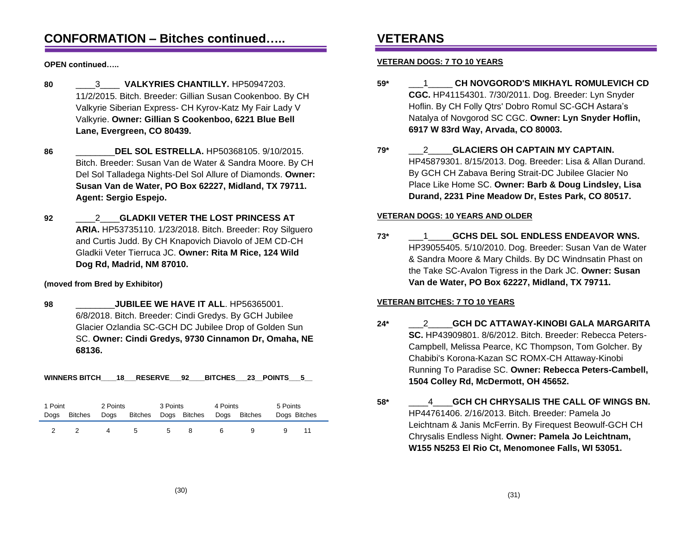### **CONFORMATION – Bitches continued…..**

**OPEN continued…..**

- **80** \_\_\_\_3\_\_\_\_ **VALKYRIES CHANTILLY.** HP50947203. 11/2/2015. Bitch. Breeder: Gillian Susan Cookenboo. By CH Valkyrie Siberian Express- CH Kyrov-Katz My Fair Lady V Valkyrie. **Owner: Gillian S Cookenboo, 6221 Blue Bell Lane, Evergreen, CO 80439.**
- **86** \_\_\_\_\_\_\_\_**DEL SOL ESTRELLA.** HP50368105. 9/10/2015. Bitch. Breeder: Susan Van de Water & Sandra Moore. By CH Del Sol Talladega Nights-Del Sol Allure of Diamonds. **Owner: Susan Van de Water, PO Box 62227, Midland, TX 79711. Agent: Sergio Espejo.**
- **92** \_\_\_\_2\_\_\_\_**GLADKII VETER THE LOST PRINCESS AT ARIA.** HP53735110. 1/23/2018. Bitch. Breeder: Roy Silguero and Curtis Judd. By CH Knapovich Diavolo of JEM CD-CH Gladkii Veter Tierruca JC. **Owner: Rita M Rice, 124 Wild Dog Rd, Madrid, NM 87010.**

### **(moved from Bred by Exhibitor)**

**98** \_\_\_\_\_\_\_\_**JUBILEE WE HAVE IT ALL**. HP56365001. 6/8/2018. Bitch. Breeder: Cindi Gredys. By GCH Jubilee Glacier Ozlandia SC-GCH DC Jubilee Drop of Golden Sun SC. **Owner: Cindi Gredys, 9730 Cinnamon Dr, Omaha, NE 68136.**

**WINNERS BITCH\_\_\_\_18\_\_\_RESERVE\_\_\_92\_\_\_\_BITCHES\_\_\_23\_\_POINTS\_\_\_5\_\_**

| 1 Point |         | 2 Points |         | 3 Points |              | 4 Points |              | 5 Points     |  |
|---------|---------|----------|---------|----------|--------------|----------|--------------|--------------|--|
| Dogs    | Bitches | Dogs     | Bitches |          | Dogs Bitches |          | Dogs Bitches | Dogs Bitches |  |
|         |         |          | 5       | 5        |              | 6        |              |              |  |

# **VETERANS**

### **VETERAN DOGS: 7 TO 10 YEARS**

- **59\*** \_\_\_1\_\_\_\_\_ **CH NOVGOROD'S MIKHAYL ROMULEVICH CD CGC.** HP41154301. 7/30/2011. Dog. Breeder: Lyn Snyder Hoflin. By CH Folly Qtrs' Dobro Romul SC-GCH Astara's Natalya of Novgorod SC CGC. **Owner: Lyn Snyder Hoflin, 6917 W 83rd Way, Arvada, CO 80003.**
- **79\*** \_\_\_2\_\_\_\_\_**GLACIERS OH CAPTAIN MY CAPTAIN.** HP45879301. 8/15/2013. Dog. Breeder: Lisa & Allan Durand. By GCH CH Zabava Bering Strait-DC Jubilee Glacier No Place Like Home SC. **Owner: Barb & Doug Lindsley, Lisa Durand, 2231 Pine Meadow Dr, Estes Park, CO 80517.**

### **VETERAN DOGS: 10 YEARS AND OLDER**

**73\*** \_\_\_1\_\_\_\_\_**GCHS DEL SOL ENDLESS ENDEAVOR WNS.** HP39055405. 5/10/2010. Dog. Breeder: Susan Van de Water & Sandra Moore & Mary Childs. By DC Windnsatin Phast on the Take SC-Avalon Tigress in the Dark JC. **Owner: Susan Van de Water, PO Box 62227, Midland, TX 79711.**

### **VETERAN BITCHES: 7 TO 10 YEARS**

- **24\*** \_\_\_2\_\_\_\_\_**GCH DC ATTAWAY-KINOBI GALA MARGARITA SC.** HP43909801. 8/6/2012. Bitch. Breeder: Rebecca Peters-Campbell, Melissa Pearce, KC Thompson, Tom Golcher. By Chabibi's Korona-Kazan SC ROMX-CH Attaway-Kinobi Running To Paradise SC. **Owner: Rebecca Peters-Cambell, 1504 Colley Rd, McDermott, OH 45652.**
- **58\*** \_\_\_\_4\_\_\_\_**GCH CH CHRYSALIS THE CALL OF WINGS BN.** HP44761406. 2/16/2013. Bitch. Breeder: Pamela Jo Leichtnam & Janis McFerrin. By Firequest Beowulf-GCH CH Chrysalis Endless Night. **Owner: Pamela Jo Leichtnam, W155 N5253 El Rio Ct, Menomonee Falls, WI 53051.**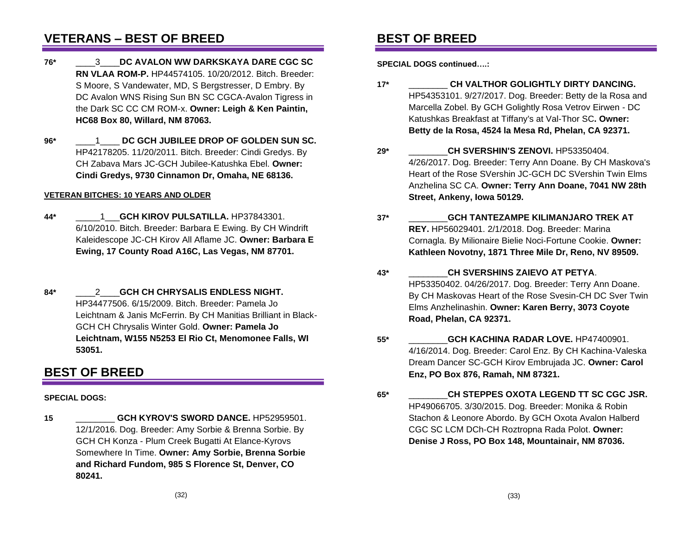## **VETERANS – BEST OF BREED**

- **76\*** \_\_\_\_3\_\_\_\_**DC AVALON WW DARKSKAYA DARE CGC SC RN VLAA ROM-P.** HP44574105. 10/20/2012. Bitch. Breeder: S Moore, S Vandewater, MD, S Bergstresser, D Embry. By DC Avalon WNS Rising Sun BN SC CGCA-Avalon Tigress in the Dark SC CC CM ROM-x. **Owner: Leigh & Ken Paintin, HC68 Box 80, Willard, NM 87063.**
- **96\*** \_\_\_\_1\_\_\_\_ **DC GCH JUBILEE DROP OF GOLDEN SUN SC.** HP42178205. 11/20/2011. Bitch. Breeder: Cindi Gredys. By CH Zabava Mars JC-GCH Jubilee-Katushka Ebel. **Owner: Cindi Gredys, 9730 Cinnamon Dr, Omaha, NE 68136.**

#### **VETERAN BITCHES: 10 YEARS AND OLDER**

- **44\*** \_\_\_\_\_1\_\_\_**GCH KIROV PULSATILLA.** HP37843301. 6/10/2010. Bitch. Breeder: Barbara E Ewing. By CH Windrift Kaleidescope JC-CH Kirov All Aflame JC. **Owner: Barbara E Ewing, 17 County Road A16C, Las Vegas, NM 87701.**
- **84\*** \_\_\_\_2\_\_\_\_**GCH CH CHRYSALIS ENDLESS NIGHT.** HP34477506. 6/15/2009. Bitch. Breeder: Pamela Jo Leichtnam & Janis McFerrin. By CH Manitias Brilliant in Black-GCH CH Chrysalis Winter Gold. **Owner: Pamela Jo Leichtnam, W155 N5253 El Rio Ct, Menomonee Falls, WI 53051.**

## **BEST OF BREED**

### **SPECIAL DOGS:**

**15** \_\_\_\_\_\_\_\_ **GCH KYROV'S SWORD DANCE.** HP52959501. 12/1/2016. Dog. Breeder: Amy Sorbie & Brenna Sorbie. By GCH CH Konza - Plum Creek Bugatti At Elance-Kyrovs Somewhere In Time. **Owner: Amy Sorbie, Brenna Sorbie and Richard Fundom, 985 S Florence St, Denver, CO 80241.**

### **BEST OF BREED**

**SPECIAL DOGS continued….:**

- **17\*** \_\_\_\_\_\_\_\_ **CH VALTHOR GOLIGHTLY DIRTY DANCING.** HP54353101. 9/27/2017. Dog. Breeder: Betty de la Rosa and Marcella Zobel. By GCH Golightly Rosa Vetrov Eirwen - DC Katushkas Breakfast at Tiffany's at Val-Thor SC**. Owner: Betty de la Rosa, 4524 la Mesa Rd, Phelan, CA 92371.**
- **29\*** \_\_\_\_\_\_\_\_**CH SVERSHIN'S ZENOVI.** HP53350404. 4/26/2017. Dog. Breeder: Terry Ann Doane. By CH Maskova's Heart of the Rose SVershin JC-GCH DC SVershin Twin Elms Anzhelina SC CA. **Owner: Terry Ann Doane, 7041 NW 28th Street, Ankeny, Iowa 50129.**
- **37\*** \_\_\_\_\_\_\_\_**GCH TANTEZAMPE KILIMANJARO TREK AT REY.** HP56029401. 2/1/2018. Dog. Breeder: Marina Cornagla. By Milionaire Bielie Noci-Fortune Cookie. **Owner: Kathleen Novotny, 1871 Three Mile Dr, Reno, NV 89509.**
- **43\*** \_\_\_\_\_\_\_\_**CH SVERSHINS ZAIEVO AT PETYA**. HP53350402. 04/26/2017. Dog. Breeder: Terry Ann Doane. By CH Maskovas Heart of the Rose Svesin-CH DC Sver Twin Elms Anzhelinashin. **Owner: Karen Berry, 3073 Coyote Road, Phelan, CA 92371.**
- **55\*** \_\_\_\_\_\_\_\_**GCH KACHINA RADAR LOVE.** HP47400901. 4/16/2014. Dog. Breeder: Carol Enz. By CH Kachina-Valeska Dream Dancer SC-GCH Kirov Embrujada JC. **Owner: Carol Enz, PO Box 876, Ramah, NM 87321.**
- **65\*** \_\_\_\_\_\_\_\_**CH STEPPES OXOTA LEGEND TT SC CGC JSR.** HP49066705. 3/30/2015. Dog. Breeder: Monika & Robin Stachon & Leonore Abordo. By GCH Oxota Avalon Halberd CGC SC LCM DCh-CH Roztropna Rada Polot. **Owner: Denise J Ross, PO Box 148, Mountainair, NM 87036.**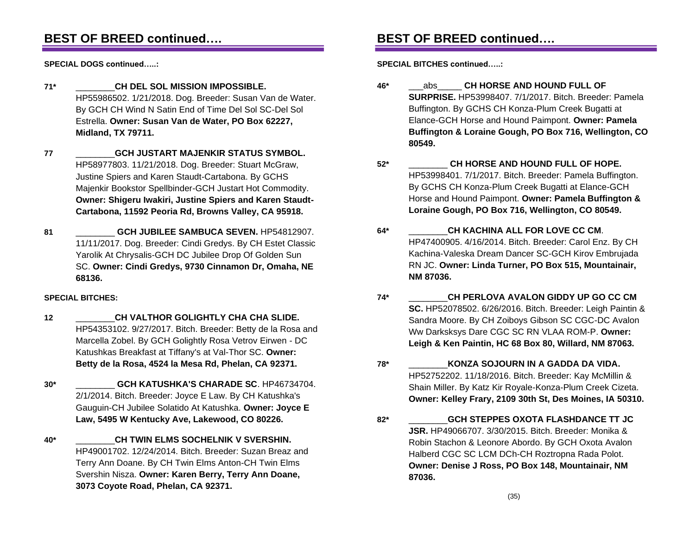## **BEST OF BREED continued….**

**SPECIAL DOGS continued…..:**

**71\*** \_\_\_\_\_\_\_\_**CH DEL SOL MISSION IMPOSSIBLE.** HP55986502. 1/21/2018. Dog. Breeder: Susan Van de Water. By GCH CH Wind N Satin End of Time Del Sol SC-Del Sol Estrella. **Owner: Susan Van de Water, PO Box 62227, Midland, TX 79711.**

**77** \_\_\_\_\_\_\_\_**GCH JUSTART MAJENKIR STATUS SYMBOL.** HP58977803. 11/21/2018. Dog. Breeder: Stuart McGraw, Justine Spiers and Karen Staudt-Cartabona. By GCHS Majenkir Bookstor Spellbinder-GCH Justart Hot Commodity. **Owner: Shigeru Iwakiri, Justine Spiers and Karen Staudt-Cartabona, 11592 Peoria Rd, Browns Valley, CA 95918.**

81 **GCH JUBILEE SAMBUCA SEVEN.** HP54812907. 11/11/2017. Dog. Breeder: Cindi Gredys. By CH Estet Classic Yarolik At Chrysalis-GCH DC Jubilee Drop Of Golden Sun SC. **Owner: Cindi Gredys, 9730 Cinnamon Dr, Omaha, NE 68136.**

### **SPECIAL BITCHES:**

- **12** \_\_\_\_\_\_\_\_**CH VALTHOR GOLIGHTLY CHA CHA SLIDE.** HP54353102. 9/27/2017. Bitch. Breeder: Betty de la Rosa and Marcella Zobel. By GCH Golightly Rosa Vetrov Eirwen - DC Katushkas Breakfast at Tiffany's at Val-Thor SC. **Owner: Betty de la Rosa, 4524 la Mesa Rd, Phelan, CA 92371.**
- **30\*** \_\_\_\_\_\_\_\_ **GCH KATUSHKA'S CHARADE SC**. HP46734704. 2/1/2014. Bitch. Breeder: Joyce E Law. By CH Katushka's Gauguin-CH Jubilee Solatido At Katushka. **Owner: Joyce E Law, 5495 W Kentucky Ave, Lakewood, CO 80226.**
- **40\*** \_\_\_\_\_\_\_\_**CH TWIN ELMS SOCHELNIK V SVERSHIN.** HP49001702. 12/24/2014. Bitch. Breeder: Suzan Breaz and Terry Ann Doane. By CH Twin Elms Anton-CH Twin Elms Svershin Nisza. **Owner: Karen Berry, Terry Ann Doane, 3073 Coyote Road, Phelan, CA 92371.**

## **BEST OF BREED continued….**

**SPECIAL BITCHES continued…..:**

- **46\*** \_\_\_abs\_\_\_\_\_ **CH HORSE AND HOUND FULL OF SURPRISE.** HP53998407. 7/1/2017. Bitch. Breeder: Pamela Buffington. By GCHS CH Konza-Plum Creek Bugatti at Elance-GCH Horse and Hound Paimpont. **Owner: Pamela Buffington & Loraine Gough, PO Box 716, Wellington, CO 80549.**
- **52\*** \_\_\_\_\_\_\_\_ **CH HORSE AND HOUND FULL OF HOPE.** HP53998401. 7/1/2017. Bitch. Breeder: Pamela Buffington. By GCHS CH Konza-Plum Creek Bugatti at Elance-GCH Horse and Hound Paimpont. **Owner: Pamela Buffington & Loraine Gough, PO Box 716, Wellington, CO 80549.**
- **64\*** \_\_\_\_\_\_\_\_**CH KACHINA ALL FOR LOVE CC CM**. HP47400905. 4/16/2014. Bitch. Breeder: Carol Enz. By CH Kachina-Valeska Dream Dancer SC-GCH Kirov Embrujada RN JC. **Owner: Linda Turner, PO Box 515, Mountainair, NM 87036.**
- **74\*** \_\_\_\_\_\_\_\_**CH PERLOVA AVALON GIDDY UP GO CC CM SC.** HP52078502. 6/26/2016. Bitch. Breeder: Leigh Paintin & Sandra Moore. By CH Zoiboys Gibson SC CGC-DC Avalon Ww Darksksys Dare CGC SC RN VLAA ROM-P. **Owner: Leigh & Ken Paintin, HC 68 Box 80, Willard, NM 87063.**
- **78\*** \_\_\_\_\_\_\_\_**KONZA SOJOURN IN A GADDA DA VIDA.** HP52752202. 11/18/2016. Bitch. Breeder: Kay McMillin & Shain Miller. By Katz Kir Royale-Konza-Plum Creek Cizeta. **Owner: Kelley Frary, 2109 30th St, Des Moines, IA 50310.**
- **82\*** \_\_\_\_\_\_\_\_**GCH STEPPES OXOTA FLASHDANCE TT JC JSR.** HP49066707. 3/30/2015. Bitch. Breeder: Monika & Robin Stachon & Leonore Abordo. By GCH Oxota Avalon Halberd CGC SC LCM DCh-CH Roztropna Rada Polot. **Owner: Denise J Ross, PO Box 148, Mountainair, NM 87036.**